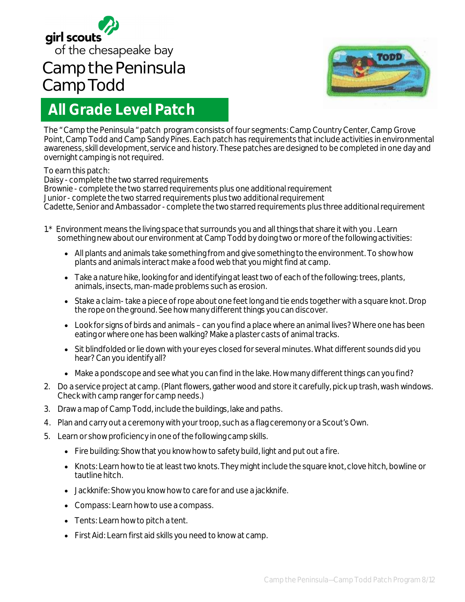

## **Camp the Peninsula Camp Todd**



## **All Grade Level Patch**

The " Camp the Peninsula " patch program consists of four segments: Camp Country Center, Camp Grove Point, Camp Todd and Camp Sandy Pines. Each patch has requirements that include activities in environmental awareness, skill development, service and history. These patches are designed to be completed in one day and overnight camping is not required.

## To earn this patch:

Daisy - complete the two starred requirements

Brownie - complete the two starred requirements plus one additional requirement Junior - complete the two starred requirements plus two additional requirement Cadette, Senior and Ambassador - complete the two starred requirements plus three additional requirement

- 1.\* Environment means the living space that surrounds you and all things that share it with you . Learn something new about our environment at Camp Todd by doing two or more of the following activities:
	- All plants and animals take something from and give something to the environment. To show how plants and animals interact make a food web that you might find at camp.
	- Take a nature hike, looking for and identifying at least two of each of the following: trees, plants, animals, insects, man-made problems such as erosion.
	- Stake a claim-take a piece of rope about one feet long and tie ends together with a square knot. Drop the rope on the ground. See how many different things you can discover.
	- Look for signs of birds and animals can you find a place where an animal lives? Where one has been eating or where one has been walking? Make a plaster casts of animal tracks.
	- Sit blindfolded or lie down with your eyes closed for several minutes. What different sounds did you hear? Can you identify all?
	- Make a pondscope and see what you can find in the lake. How many different things can you find?
- 2. Do a service project at camp. (Plant flowers, gather wood and store it carefully, pick up trash, wash windows. Check with camp ranger for camp needs.)
- 3. Draw a map of Camp Todd, include the buildings, lake and paths.
- 4. Plan and carry out a ceremony with your troop, such as a flag ceremony or a Scout's Own.
- 5. Learn or show proficiency in one of the following camp skills.
	- Fire building: Show that you know how to safety build, light and put out a fire.
	- Knots: Learn how to tie at least two knots. They might include the square knot, clove hitch, bowline or tautline hitch.
	- Jackknife: Show you know how to care for and use a jackknife.
	- Compass: Learn how to use a compass.
	- Tents: Learn how to pitch a tent.
	- First Aid: Learn first aid skills you need to know at camp.